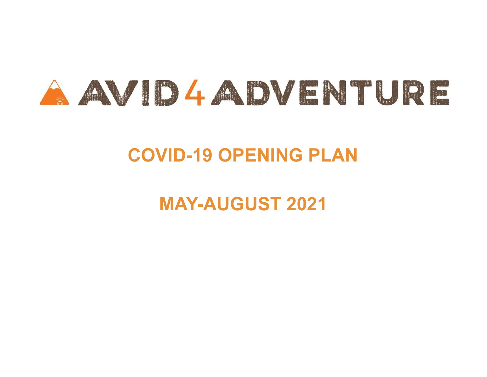

# **COVID-19 OPENING PLAN**

# **MAY-AUGUST 2021**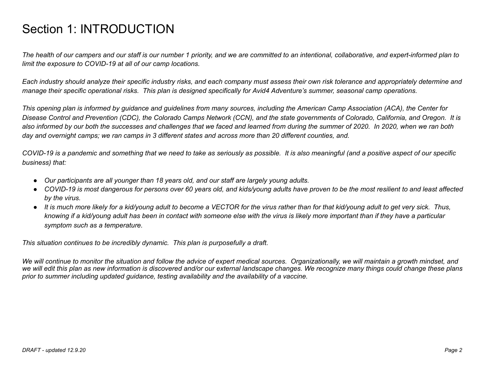### Section 1: INTRODUCTION

The health of our campers and our staff is our number 1 priority, and we are committed to an intentional, collaborative, and expert-informed plan to *limit the exposure to COVID-19 at all of our camp locations.*

Each industry should analyze their specific industry risks, and each company must assess their own risk tolerance and appropriately determine and manage their specific operational risks. This plan is designed specifically for Avid4 Adventure's summer, seasonal camp operations.

This opening plan is informed by guidance and guidelines from many sources, including the American Camp Association (ACA), the Center for Disease Control and Prevention (CDC), the Colorado Camps Network (CCN), and the state governments of Colorado, California, and Oregon. It is also informed by our both the successes and challenges that we faced and learned from during the summer of 2020. In 2020, when we ran both day and overnight camps; we ran camps in 3 different states and across more than 20 different counties, and.

COVID-19 is a pandemic and something that we need to take as seriously as possible. It is also meaningful (and a positive aspect of our specific *business) that:*

- *● Our participants are all younger than 18 years old, and our staff are largely young adults.*
- COVID-19 is most dangerous for persons over 60 years old, and kids/young adults have proven to be the most resilient to and least affected *by the virus.*
- It is much more likely for a kid/young adult to become a VECTOR for the virus rather than for that kid/young adult to get very sick. Thus, knowing if a kid/young adult has been in contact with someone else with the virus is likely more important than if they have a particular *symptom such as a temperature.*

*This situation continues to be incredibly dynamic. This plan is purposefully a draft.*

We will continue to monitor the situation and follow the advice of expert medical sources. Organizationally, we will maintain a growth mindset, and we will edit this plan as new information is discovered and/or our external landscape changes. We recognize many things could change these plans *prior to summer including updated guidance, testing availability and the availability of a vaccine.*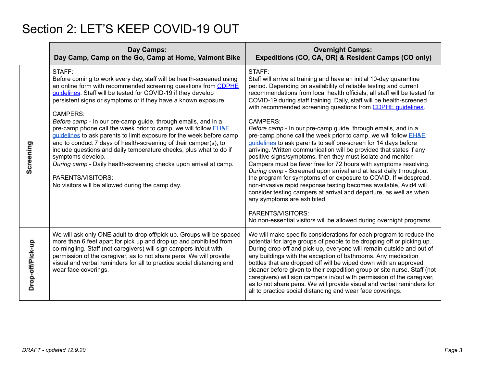# Section 2: LET'S KEEP COVID-19 OUT

|                  | Day Camps:<br>Day Camp, Camp on the Go, Camp at Home, Valmont Bike                                                                                                                                                                                                                                                                                                                                                                                                                                                                                                                                                                                                                                                                                                                                                                         | <b>Overnight Camps:</b><br>Expeditions (CO, CA, OR) & Resident Camps (CO only)                                                                                                                                                                                                                                                                                                                                                                                                                                                                                                                                                                                                                                                                                                                                                                                                                                                                                                                                                                                                                                                                                                                                       |
|------------------|--------------------------------------------------------------------------------------------------------------------------------------------------------------------------------------------------------------------------------------------------------------------------------------------------------------------------------------------------------------------------------------------------------------------------------------------------------------------------------------------------------------------------------------------------------------------------------------------------------------------------------------------------------------------------------------------------------------------------------------------------------------------------------------------------------------------------------------------|----------------------------------------------------------------------------------------------------------------------------------------------------------------------------------------------------------------------------------------------------------------------------------------------------------------------------------------------------------------------------------------------------------------------------------------------------------------------------------------------------------------------------------------------------------------------------------------------------------------------------------------------------------------------------------------------------------------------------------------------------------------------------------------------------------------------------------------------------------------------------------------------------------------------------------------------------------------------------------------------------------------------------------------------------------------------------------------------------------------------------------------------------------------------------------------------------------------------|
| Screening        | STAFF:<br>Before coming to work every day, staff will be health-screened using<br>an online form with recommended screening questions from CDPHE<br>guidelines. Staff will be tested for COVID-19 if they develop<br>persistent signs or symptoms or if they have a known exposure.<br><b>CAMPERS:</b><br>Before camp - In our pre-camp guide, through emails, and in a<br>pre-camp phone call the week prior to camp, we will follow <b>EH&amp;E</b><br>guidelines to ask parents to limit exposure for the week before camp<br>and to conduct 7 days of health-screening of their camper(s), to<br>include questions and daily temperature checks, plus what to do if<br>symptoms develop.<br>During camp - Daily health-screening checks upon arrival at camp.<br>PARENTS/VISITORS:<br>No visitors will be allowed during the camp day. | STAFF:<br>Staff will arrive at training and have an initial 10-day quarantine<br>period. Depending on availability of reliable testing and current<br>recommendations from local health officials, all staff will be tested for<br>COVID-19 during staff training. Daily, staff will be health-screened<br>with recommended screening questions from CDPHE guidelines.<br>CAMPERS:<br>Before camp - In our pre-camp guide, through emails, and in a<br>pre-camp phone call the week prior to camp, we will follow EH&E<br>quidelines to ask parents to self pre-screen for 14 days before<br>arriving. Written communication will be provided that states if any<br>positive signs/symptoms, then they must isolate and monitor.<br>Campers must be fever free for 72 hours with symptoms resolving.<br>During camp - Screened upon arrival and at least daily throughout<br>the program for symptoms of or exposure to COVID. If widespread,<br>non-invasive rapid response testing becomes available, Avid4 will<br>consider testing campers at arrival and departure, as well as when<br>any symptoms are exhibited.<br>PARENTS/VISITORS:<br>No non-essential visitors will be allowed during overnight programs. |
| Drop-off/Pick-up | We will ask only ONE adult to drop off/pick up. Groups will be spaced<br>more than 6 feet apart for pick up and drop up and prohibited from<br>co-mingling. Staff (not caregivers) will sign campers in/out with<br>permission of the caregiver, as to not share pens. We will provide<br>visual and verbal reminders for all to practice social distancing and<br>wear face coverings.                                                                                                                                                                                                                                                                                                                                                                                                                                                    | We will make specific considerations for each program to reduce the<br>potential for large groups of people to be dropping off or picking up.<br>During drop-off and pick-up, everyone will remain outside and out of<br>any buildings with the exception of bathrooms. Any medication<br>bottles that are dropped off will be wiped down with an approved<br>cleaner before given to their expedition group or site nurse. Staff (not<br>caregivers) will sign campers in/out with permission of the caregiver,<br>as to not share pens. We will provide visual and verbal reminders for<br>all to practice social distancing and wear face coverings.                                                                                                                                                                                                                                                                                                                                                                                                                                                                                                                                                              |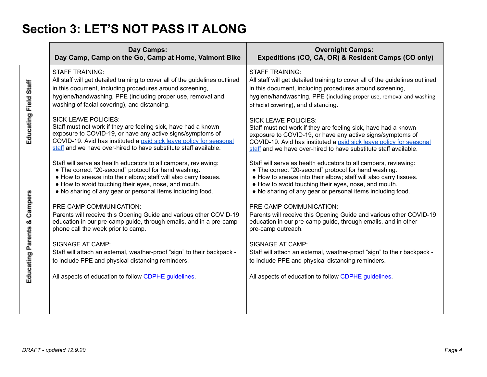# **Section 3: LET'S NOT PASS IT ALONG**

|                                           | Day Camps:<br>Day Camp, Camp on the Go, Camp at Home, Valmont Bike                                                                                                                                                                                                                                                | <b>Overnight Camps:</b><br>Expeditions (CO, CA, OR) & Resident Camps (CO only)                                                                                                                                                                                                                                    |
|-------------------------------------------|-------------------------------------------------------------------------------------------------------------------------------------------------------------------------------------------------------------------------------------------------------------------------------------------------------------------|-------------------------------------------------------------------------------------------------------------------------------------------------------------------------------------------------------------------------------------------------------------------------------------------------------------------|
| Educating Field Staff                     | <b>STAFF TRAINING:</b><br>All staff will get detailed training to cover all of the guidelines outlined<br>in this document, including procedures around screening,<br>hygiene/handwashing, PPE (including proper use, removal and<br>washing of facial covering), and distancing.                                 | <b>STAFF TRAINING:</b><br>All staff will get detailed training to cover all of the guidelines outlined<br>in this document, including procedures around screening,<br>hygiene/handwashing, PPE (including proper use, removal and washing<br>of facial covering), and distancing.                                 |
|                                           | <b>SICK LEAVE POLICIES:</b><br>Staff must not work if they are feeling sick, have had a known<br>exposure to COVID-19, or have any active signs/symptoms of<br>COVID-19. Avid has instituted a paid sick leave policy for seasonal<br>staff and we have over-hired to have substitute staff available.            | <b>SICK LEAVE POLICIES:</b><br>Staff must not work if they are feeling sick, have had a known<br>exposure to COVID-19, or have any active signs/symptoms of<br>COVID-19. Avid has instituted a paid sick leave policy for seasonal<br>staff and we have over-hired to have substitute staff available.            |
| Campers<br><b>Educating Parents &amp;</b> | Staff will serve as health educators to all campers, reviewing:<br>• The correct "20-second" protocol for hand washing.<br>• How to sneeze into their elbow; staff will also carry tissues.<br>• How to avoid touching their eyes, nose, and mouth.<br>• No sharing of any gear or personal items including food. | Staff will serve as health educators to all campers, reviewing:<br>• The correct "20-second" protocol for hand washing.<br>. How to sneeze into their elbow; staff will also carry tissues.<br>• How to avoid touching their eyes, nose, and mouth.<br>• No sharing of any gear or personal items including food. |
|                                           | PRE-CAMP COMMUNICATION:<br>Parents will receive this Opening Guide and various other COVID-19<br>education in our pre-camp guide, through emails, and in a pre-camp<br>phone call the week prior to camp.                                                                                                         | PRE-CAMP COMMUNICATION:<br>Parents will receive this Opening Guide and various other COVID-19<br>education in our pre-camp guide, through emails, and in other<br>pre-camp outreach.                                                                                                                              |
|                                           | <b>SIGNAGE AT CAMP:</b><br>Staff will attach an external, weather-proof "sign" to their backpack -<br>to include PPE and physical distancing reminders.                                                                                                                                                           | <b>SIGNAGE AT CAMP:</b><br>Staff will attach an external, weather-proof "sign" to their backpack -<br>to include PPE and physical distancing reminders.                                                                                                                                                           |
|                                           | All aspects of education to follow CDPHE guidelines.                                                                                                                                                                                                                                                              | All aspects of education to follow CDPHE guidelines.                                                                                                                                                                                                                                                              |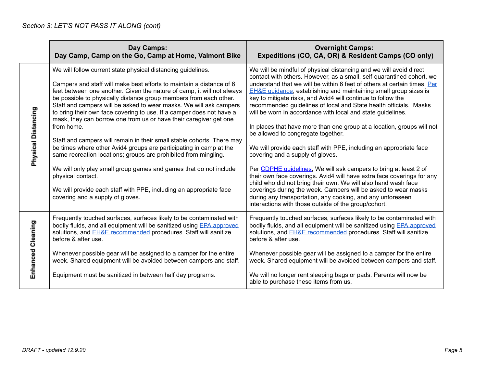|                     | Day Camps:<br>Day Camp, Camp on the Go, Camp at Home, Valmont Bike                                                                                                                                                                                                                                                                                                                                                                                                                                                                                                                                                                                                                                                                                                                                                                                                                                                                          | <b>Overnight Camps:</b><br>Expeditions (CO, CA, OR) & Resident Camps (CO only)                                                                                                                                                                                                                                                                                                                                                                                                                                                                                                                                                                                                                                                                                                                                                                                                                                                                                                                                                                                                                                                               |
|---------------------|---------------------------------------------------------------------------------------------------------------------------------------------------------------------------------------------------------------------------------------------------------------------------------------------------------------------------------------------------------------------------------------------------------------------------------------------------------------------------------------------------------------------------------------------------------------------------------------------------------------------------------------------------------------------------------------------------------------------------------------------------------------------------------------------------------------------------------------------------------------------------------------------------------------------------------------------|----------------------------------------------------------------------------------------------------------------------------------------------------------------------------------------------------------------------------------------------------------------------------------------------------------------------------------------------------------------------------------------------------------------------------------------------------------------------------------------------------------------------------------------------------------------------------------------------------------------------------------------------------------------------------------------------------------------------------------------------------------------------------------------------------------------------------------------------------------------------------------------------------------------------------------------------------------------------------------------------------------------------------------------------------------------------------------------------------------------------------------------------|
| Physical Distancing | We will follow current state physical distancing guidelines.<br>Campers and staff will make best efforts to maintain a distance of 6<br>feet between one another. Given the nature of camp, it will not always<br>be possible to physically distance group members from each other.<br>Staff and campers will be asked to wear masks. We will ask campers<br>to bring their own face covering to use. If a camper does not have a<br>mask, they can borrow one from us or have their caregiver get one<br>from home.<br>Staff and campers will remain in their small stable cohorts. There may<br>be times where other Avid4 groups are participating in camp at the<br>same recreation locations; groups are prohibited from mingling.<br>We will only play small group games and games that do not include<br>physical contact.<br>We will provide each staff with PPE, including an appropriate face<br>covering and a supply of gloves. | We will be mindful of physical distancing and we will avoid direct<br>contact with others. However, as a small, self-quarantined cohort, we<br>understand that we will be within 6 feet of others at certain times. Per<br><b>EH&amp;E guidance, establishing and maintaining small group sizes is</b><br>key to mitigate risks, and Avid4 will continue to follow the<br>recommended guidelines of local and State health officials. Masks<br>will be worn in accordance with local and state guidelines.<br>In places that have more than one group at a location, groups will not<br>be allowed to congregate together.<br>We will provide each staff with PPE, including an appropriate face<br>covering and a supply of gloves.<br>Per CDPHE quidelines, We will ask campers to bring at least 2 of<br>their own face coverings. Avid4 will have extra face coverings for any<br>child who did not bring their own. We will also hand wash face<br>coverings during the week. Campers will be asked to wear masks<br>during any transportation, any cooking, and any unforeseen<br>interactions with those outside of the group/cohort. |
| Enhanced Cleaning   | Frequently touched surfaces, surfaces likely to be contaminated with<br>bodily fluids, and all equipment will be sanitized using EPA approved<br>solutions, and <b>EH&amp;E</b> recommended procedures. Staff will sanitize<br>before & after use.                                                                                                                                                                                                                                                                                                                                                                                                                                                                                                                                                                                                                                                                                          | Frequently touched surfaces, surfaces likely to be contaminated with<br>bodily fluids, and all equipment will be sanitized using EPA approved<br>solutions, and <b>EH&amp;E</b> recommended procedures. Staff will sanitize<br>before & after use.                                                                                                                                                                                                                                                                                                                                                                                                                                                                                                                                                                                                                                                                                                                                                                                                                                                                                           |
|                     | Whenever possible gear will be assigned to a camper for the entire<br>week. Shared equipment will be avoided between campers and staff.                                                                                                                                                                                                                                                                                                                                                                                                                                                                                                                                                                                                                                                                                                                                                                                                     | Whenever possible gear will be assigned to a camper for the entire<br>week. Shared equipment will be avoided between campers and staff.                                                                                                                                                                                                                                                                                                                                                                                                                                                                                                                                                                                                                                                                                                                                                                                                                                                                                                                                                                                                      |
|                     | Equipment must be sanitized in between half day programs.                                                                                                                                                                                                                                                                                                                                                                                                                                                                                                                                                                                                                                                                                                                                                                                                                                                                                   | We will no longer rent sleeping bags or pads. Parents will now be<br>able to purchase these items from us.                                                                                                                                                                                                                                                                                                                                                                                                                                                                                                                                                                                                                                                                                                                                                                                                                                                                                                                                                                                                                                   |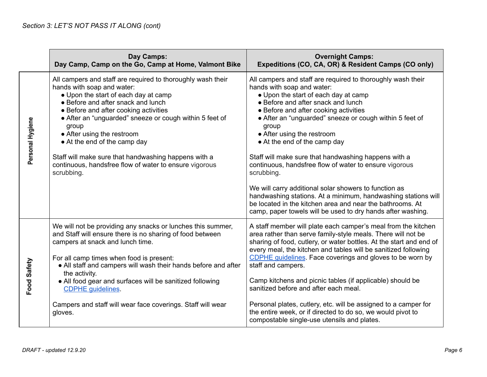|                  | Day Camps:<br>Day Camp, Camp on the Go, Camp at Home, Valmont Bike                                                                                                                                                                                                                                                                                                                                                                                                                 | <b>Overnight Camps:</b><br>Expeditions (CO, CA, OR) & Resident Camps (CO only)                                                                                                                                                                                                                                                                                                                                                                                                                                                                                                                                                                                                                                                           |
|------------------|------------------------------------------------------------------------------------------------------------------------------------------------------------------------------------------------------------------------------------------------------------------------------------------------------------------------------------------------------------------------------------------------------------------------------------------------------------------------------------|------------------------------------------------------------------------------------------------------------------------------------------------------------------------------------------------------------------------------------------------------------------------------------------------------------------------------------------------------------------------------------------------------------------------------------------------------------------------------------------------------------------------------------------------------------------------------------------------------------------------------------------------------------------------------------------------------------------------------------------|
| Personal Hygiene | All campers and staff are required to thoroughly wash their<br>hands with soap and water:<br>• Upon the start of each day at camp<br>• Before and after snack and lunch<br>• Before and after cooking activities<br>• After an "unguarded" sneeze or cough within 5 feet of<br>group<br>• After using the restroom<br>• At the end of the camp day<br>Staff will make sure that handwashing happens with a<br>continuous, handsfree flow of water to ensure vigorous<br>scrubbing. | All campers and staff are required to thoroughly wash their<br>hands with soap and water:<br>• Upon the start of each day at camp<br>• Before and after snack and lunch<br>• Before and after cooking activities<br>• After an "unguarded" sneeze or cough within 5 feet of<br>group<br>• After using the restroom<br>• At the end of the camp day<br>Staff will make sure that handwashing happens with a<br>continuous, handsfree flow of water to ensure vigorous<br>scrubbing.<br>We will carry additional solar showers to function as<br>handwashing stations. At a minimum, handwashing stations will<br>be located in the kitchen area and near the bathrooms. At<br>camp, paper towels will be used to dry hands after washing. |
| Food Safety      | We will not be providing any snacks or lunches this summer,<br>and Staff will ensure there is no sharing of food between<br>campers at snack and lunch time.<br>For all camp times when food is present:<br>• All staff and campers will wash their hands before and after<br>the activity.<br>• All food gear and surfaces will be sanitized following<br><b>CDPHE</b> guidelines.<br>Campers and staff will wear face coverings. Staff will wear<br>gloves.                      | A staff member will plate each camper's meal from the kitchen<br>area rather than serve family-style meals. There will not be<br>sharing of food, cutlery, or water bottles. At the start and end of<br>every meal, the kitchen and tables will be sanitized following<br><b>CDPHE guidelines</b> . Face coverings and gloves to be worn by<br>staff and campers.<br>Camp kitchens and picnic tables (if applicable) should be<br>sanitized before and after each meal.<br>Personal plates, cutlery, etc. will be assigned to a camper for<br>the entire week, or if directed to do so, we would pivot to<br>compostable single-use utensils and plates.                                                                                 |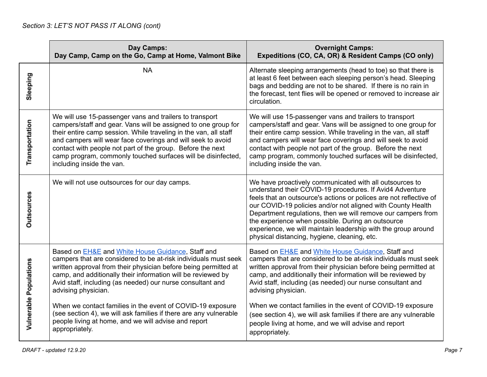|                        | Day Camps:<br>Day Camp, Camp on the Go, Camp at Home, Valmont Bike                                                                                                                                                                                                                                                                                                                                                      | <b>Overnight Camps:</b><br>Expeditions (CO, CA, OR) & Resident Camps (CO only)                                                                                                                                                                                                                                                                                                                                                                                                                 |
|------------------------|-------------------------------------------------------------------------------------------------------------------------------------------------------------------------------------------------------------------------------------------------------------------------------------------------------------------------------------------------------------------------------------------------------------------------|------------------------------------------------------------------------------------------------------------------------------------------------------------------------------------------------------------------------------------------------------------------------------------------------------------------------------------------------------------------------------------------------------------------------------------------------------------------------------------------------|
| Sleeping               | <b>NA</b>                                                                                                                                                                                                                                                                                                                                                                                                               | Alternate sleeping arrangements (head to toe) so that there is<br>at least 6 feet between each sleeping person's head. Sleeping<br>bags and bedding are not to be shared. If there is no rain in<br>the forecast, tent flies will be opened or removed to increase air<br>circulation.                                                                                                                                                                                                         |
| Transportation         | We will use 15-passenger vans and trailers to transport<br>campers/staff and gear. Vans will be assigned to one group for<br>their entire camp session. While traveling in the van, all staff<br>and campers will wear face coverings and will seek to avoid<br>contact with people not part of the group. Before the next<br>camp program, commonly touched surfaces will be disinfected,<br>including inside the van. | We will use 15-passenger vans and trailers to transport<br>campers/staff and gear. Vans will be assigned to one group for<br>their entire camp session. While traveling in the van, all staff<br>and campers will wear face coverings and will seek to avoid<br>contact with people not part of the group. Before the next<br>camp program, commonly touched surfaces will be disinfected,<br>including inside the van.                                                                        |
| <b>Outsources</b>      | We will not use outsources for our day camps.                                                                                                                                                                                                                                                                                                                                                                           | We have proactively communicated with all outsources to<br>understand their COVID-19 procedures. If Avid4 Adventure<br>feels that an outsource's actions or polices are not reflective of<br>our COVID-19 policies and/or not aligned with County Health<br>Department regulations, then we will remove our campers from<br>the experience when possible. During an outsource<br>experience, we will maintain leadership with the group around<br>physical distancing, hygiene, cleaning, etc. |
| Vulnerable Populations | Based on <b>EH&amp;E</b> and White House Guidance, Staff and<br>campers that are considered to be at-risk individuals must seek<br>written approval from their physician before being permitted at<br>camp, and additionally their information will be reviewed by<br>Avid staff, including (as needed) our nurse consultant and<br>advising physician.                                                                 | Based on <b>EH&amp;E</b> and White House Guidance, Staff and<br>campers that are considered to be at-risk individuals must seek<br>written approval from their physician before being permitted at<br>camp, and additionally their information will be reviewed by<br>Avid staff, including (as needed) our nurse consultant and<br>advising physician.                                                                                                                                        |
|                        | When we contact families in the event of COVID-19 exposure<br>(see section 4), we will ask families if there are any vulnerable<br>people living at home, and we will advise and report<br>appropriately.                                                                                                                                                                                                               | When we contact families in the event of COVID-19 exposure<br>(see section 4), we will ask families if there are any vulnerable<br>people living at home, and we will advise and report<br>appropriately.                                                                                                                                                                                                                                                                                      |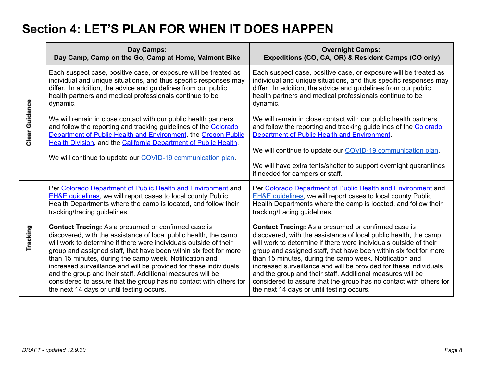### **Section 4: LET'S PLAN FOR WHEN IT DOES HAPPEN**

|                | Day Camps:<br>Day Camp, Camp on the Go, Camp at Home, Valmont Bike                                                                                                                                                                                                                                                                                                                                                                                                                                                                                                                        | <b>Overnight Camps:</b><br>Expeditions (CO, CA, OR) & Resident Camps (CO only)                                                                                                                                                                                                                                                                                                                                                                                                                                                                                                            |
|----------------|-------------------------------------------------------------------------------------------------------------------------------------------------------------------------------------------------------------------------------------------------------------------------------------------------------------------------------------------------------------------------------------------------------------------------------------------------------------------------------------------------------------------------------------------------------------------------------------------|-------------------------------------------------------------------------------------------------------------------------------------------------------------------------------------------------------------------------------------------------------------------------------------------------------------------------------------------------------------------------------------------------------------------------------------------------------------------------------------------------------------------------------------------------------------------------------------------|
| Clear Guidance | Each suspect case, positive case, or exposure will be treated as<br>individual and unique situations, and thus specific responses may<br>differ. In addition, the advice and guidelines from our public<br>health partners and medical professionals continue to be<br>dynamic.                                                                                                                                                                                                                                                                                                           | Each suspect case, positive case, or exposure will be treated as<br>individual and unique situations, and thus specific responses may<br>differ. In addition, the advice and guidelines from our public<br>health partners and medical professionals continue to be<br>dynamic.                                                                                                                                                                                                                                                                                                           |
|                | We will remain in close contact with our public health partners<br>and follow the reporting and tracking guidelines of the Colorado<br>Department of Public Health and Environment, the Oregon Public<br>Health Division, and the California Department of Public Health.<br>We will continue to update our COVID-19 communication plan.                                                                                                                                                                                                                                                  | We will remain in close contact with our public health partners<br>and follow the reporting and tracking guidelines of the Colorado<br>Department of Public Health and Environment.<br>We will continue to update our COVID-19 communication plan.<br>We will have extra tents/shelter to support overnight quarantines<br>if needed for campers or staff.                                                                                                                                                                                                                                |
| Tracking       | Per Colorado Department of Public Health and Environment and<br><b>EH&amp;E guidelines, we will report cases to local county Public</b><br>Health Departments where the camp is located, and follow their<br>tracking/tracing guidelines.                                                                                                                                                                                                                                                                                                                                                 | Per Colorado Department of Public Health and Environment and<br><b>EH&amp;E guidelines, we will report cases to local county Public</b><br>Health Departments where the camp is located, and follow their<br>tracking/tracing guidelines.                                                                                                                                                                                                                                                                                                                                                 |
|                | <b>Contact Tracing:</b> As a presumed or confirmed case is<br>discovered, with the assistance of local public health, the camp<br>will work to determine if there were individuals outside of their<br>group and assigned staff, that have been within six feet for more<br>than 15 minutes, during the camp week. Notification and<br>increased surveillance and will be provided for these individuals<br>and the group and their staff. Additional measures will be<br>considered to assure that the group has no contact with others for<br>the next 14 days or until testing occurs. | <b>Contact Tracing:</b> As a presumed or confirmed case is<br>discovered, with the assistance of local public health, the camp<br>will work to determine if there were individuals outside of their<br>group and assigned staff, that have been within six feet for more<br>than 15 minutes, during the camp week. Notification and<br>increased surveillance and will be provided for these individuals<br>and the group and their staff. Additional measures will be<br>considered to assure that the group has no contact with others for<br>the next 14 days or until testing occurs. |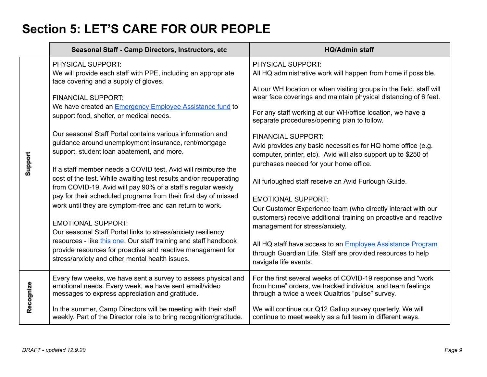# **Section 5: LET'S CARE FOR OUR PEOPLE**

|           | Seasonal Staff - Camp Directors, Instructors, etc                                                                                                                                                  | <b>HQ/Admin staff</b>                                                                                                                                                                                 |
|-----------|----------------------------------------------------------------------------------------------------------------------------------------------------------------------------------------------------|-------------------------------------------------------------------------------------------------------------------------------------------------------------------------------------------------------|
| Support   | PHYSICAL SUPPORT:<br>We will provide each staff with PPE, including an appropriate<br>face covering and a supply of gloves.                                                                        | PHYSICAL SUPPORT:<br>All HQ administrative work will happen from home if possible.                                                                                                                    |
|           | <b>FINANCIAL SUPPORT:</b><br>We have created an <b>Emergency Employee Assistance fund</b> to                                                                                                       | At our WH location or when visiting groups in the field, staff will<br>wear face coverings and maintain physical distancing of 6 feet.                                                                |
|           | support food, shelter, or medical needs.                                                                                                                                                           | For any staff working at our WH/office location, we have a<br>separate procedures/opening plan to follow.                                                                                             |
|           | Our seasonal Staff Portal contains various information and<br>guidance around unemployment insurance, rent/mortgage<br>support, student loan abatement, and more.                                  | <b>FINANCIAL SUPPORT:</b><br>Avid provides any basic necessities for HQ home office (e.g.<br>computer, printer, etc). Avid will also support up to \$250 of<br>purchases needed for your home office. |
|           | If a staff member needs a COVID test, Avid will reimburse the<br>cost of the test. While awaiting test results and/or recuperating<br>from COVID-19, Avid will pay 90% of a staff's regular weekly | All furloughed staff receive an Avid Furlough Guide.                                                                                                                                                  |
|           | pay for their scheduled programs from their first day of missed<br>work until they are symptom-free and can return to work.                                                                        | <b>EMOTIONAL SUPPORT:</b><br>Our Customer Experience team (who directly interact with our                                                                                                             |
|           | <b>EMOTIONAL SUPPORT:</b><br>Our seasonal Staff Portal links to stress/anxiety resiliency                                                                                                          | customers) receive additional training on proactive and reactive<br>management for stress/anxiety.                                                                                                    |
|           | resources - like this one. Our staff training and staff handbook<br>provide resources for proactive and reactive management for<br>stress/anxiety and other mental health issues.                  | All HQ staff have access to an Employee Assistance Program<br>through Guardian Life. Staff are provided resources to help<br>navigate life events.                                                    |
| Recognize | Every few weeks, we have sent a survey to assess physical and<br>emotional needs. Every week, we have sent email/video<br>messages to express appreciation and gratitude.                          | For the first several weeks of COVID-19 response and "work<br>from home" orders, we tracked individual and team feelings<br>through a twice a week Qualtrics "pulse" survey.                          |
|           | In the summer, Camp Directors will be meeting with their staff<br>weekly. Part of the Director role is to bring recognition/gratitude.                                                             | We will continue our Q12 Gallup survey quarterly. We will<br>continue to meet weekly as a full team in different ways.                                                                                |